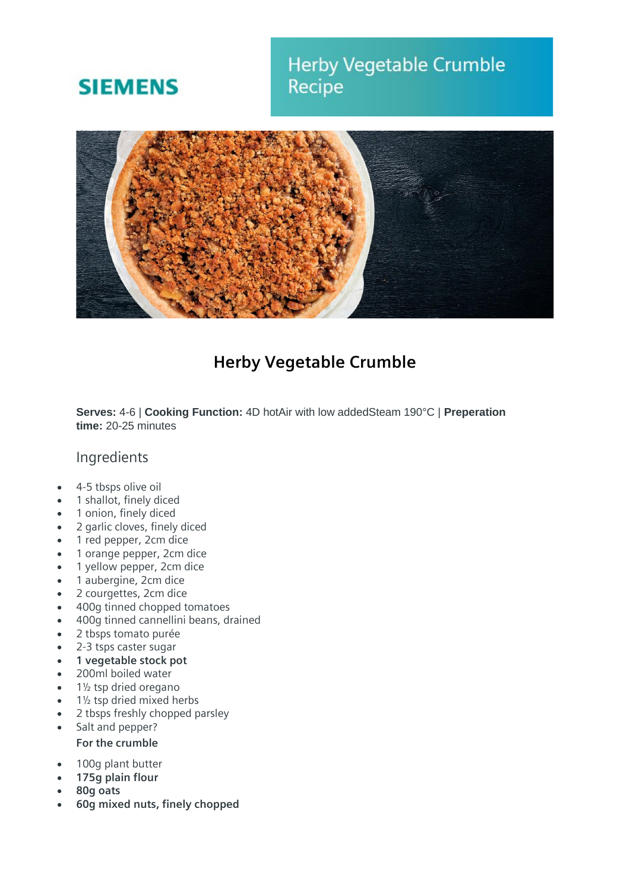# **SIEMENS**

## **Herby Vegetable Crumble** Recipe



### **Herby Vegetable Crumble**

**Serves:** 4-6 | **Cooking Function:** 4D hotAir with low addedSteam 190°C | **Preperation time:** 20-25 minutes

#### Ingredients

- 4-5 tbsps olive oil
- 1 shallot, finely diced
- 1 onion, finely diced
- 2 garlic cloves, finely diced
- 1 red pepper, 2cm dice
- 1 orange pepper, 2cm dice
- 1 yellow pepper, 2cm dice
- 1 aubergine, 2cm dice
- 2 courgettes, 2cm dice
- 400g tinned chopped tomatoes
- 400g tinned cannellini beans, drained
- 2 tbsps tomato purée
- 2-3 tsps caster sugar
- **1 vegetable stock pot**
- 200ml boiled water
- 1½ tsp dried oregano
- 1½ tsp dried mixed herbs
- 2 tbsps freshly chopped parsley
- Salt and pepper? **For the crumble**
- 100g plant butter
- **175g plain flour**
- **80g oats**
- **60g mixed nuts, finely chopped**